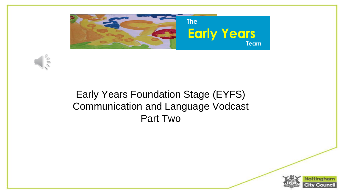



#### Early Years Foundation Stage (EYFS) Communication and Language Vodcast Part Two

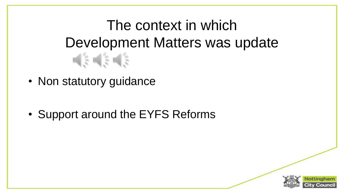## The context in which Development Matters was update

• Non statutory guidance

• Support around the EYFS Reforms

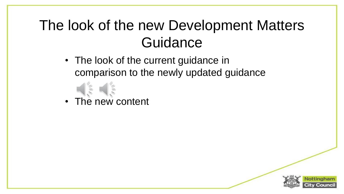### The look of the new Development Matters **Guidance**

• The look of the current guidance in comparison to the newly updated guidance





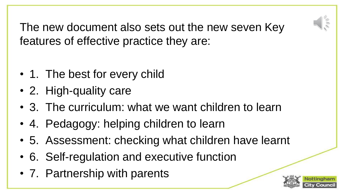

The new document also sets out the new seven Key features of effective practice they are:

- 1. The best for every child
- 2. High-quality care
- 3. The curriculum: what we want children to learn
- 4. Pedagogy: helping children to learn
- 5. Assessment: checking what children have learnt
- 6. Self-regulation and executive function
- 7. Partnership with parents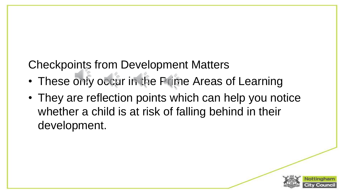Checkpoints from Development Matters

- These only occur in the Prime Areas of Learning
- They are reflection points which can help you notice whether a child is at risk of falling behind in their development.

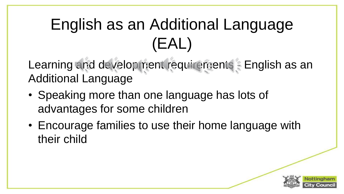# English as an Additional Language (EAL)

Learning and development requirements - English as an Additional Language

- Speaking more than one language has lots of advantages for some children
- Encourage families to use their home language with their child

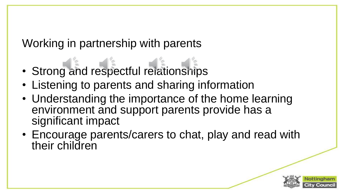### Working in partnership with parents

- Strong and respectful relationships
- Listening to parents and sharing information
- Understanding the importance of the home learning environment and support parents provide has a significant impact
- Encourage parents/carers to chat, play and read with their children

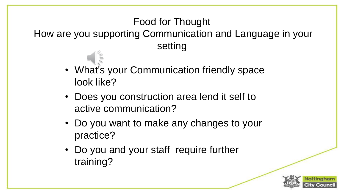#### Food for Thought

How are you supporting Communication and Language in your setting

- What's your Communication friendly space look like?
- Does you construction area lend it self to active communication?
- Do you want to make any changes to your practice?
- Do you and your staff require further training?

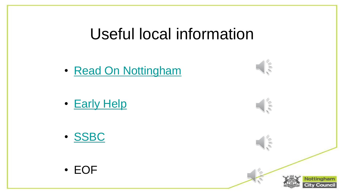### Useful local information

 $\frac{1}{2}$ 

 $\frac{1}{2}$ 

 $\|\xi\|$ 

lottinah

• [Read On Nottingham](https://literacytrust.org.uk/communities/nottingham/families/nottingham-family-cookbook/)

- [Early Help](https://www.facebook.com/NottinghamEarlyHelpChildrensCentres/)
- [SSBC](http://www.smallstepsbigchanges.org.uk/)

• EOF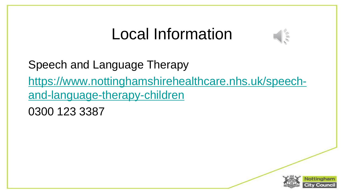## Local Information



Speech and Language Therapy

[https://www.nottinghamshirehealthcare.nhs.uk/speech](https://www.nottinghamshirehealthcare.nhs.uk/speech-and-language-therapy-children)and-language-therapy-children

0300 123 3387